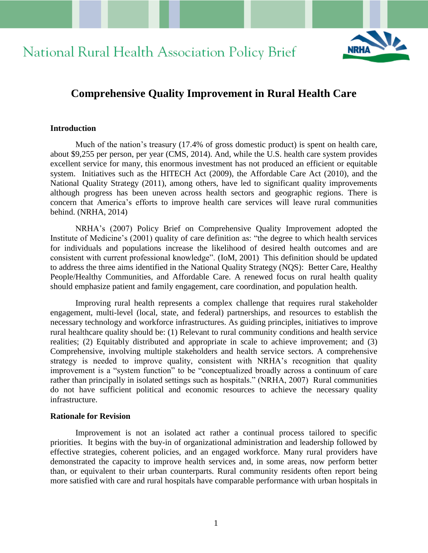# National Rural Health Association Policy Brief



# **Comprehensive Quality Improvement in Rural Health Care**

#### **Introduction**

Much of the nation's treasury (17.4% of gross domestic product) is spent on health care, about \$9,255 per person, per year (CMS, 2014). And, while the U.S. health care system provides excellent service for many, this enormous investment has not produced an efficient or equitable system. Initiatives such as the HITECH Act (2009), the Affordable Care Act (2010), and the National Quality Strategy (2011), among others, have led to significant quality improvements although progress has been uneven across health sectors and geographic regions. There is concern that America's efforts to improve health care services will leave rural communities behind. (NRHA, 2014)

NRHA's (2007) Policy Brief on Comprehensive Quality Improvement adopted the Institute of Medicine's (2001) quality of care definition as: "the degree to which health services for individuals and populations increase the likelihood of desired health outcomes and are consistent with current professional knowledge". (IoM, 2001) This definition should be updated to address the three aims identified in the National Quality Strategy (NQS): Better Care, Healthy People/Healthy Communities, and Affordable Care. A renewed focus on rural health quality should emphasize patient and family engagement, care coordination, and population health.

Improving rural health represents a complex challenge that requires rural stakeholder engagement, multi-level (local, state, and federal) partnerships, and resources to establish the necessary technology and workforce infrastructures. As guiding principles, initiatives to improve rural healthcare quality should be: (1) Relevant to rural community conditions and health service realities; (2) Equitably distributed and appropriate in scale to achieve improvement; and (3) Comprehensive, involving multiple stakeholders and health service sectors. A comprehensive strategy is needed to improve quality, consistent with NRHA's recognition that quality improvement is a "system function" to be "conceptualized broadly across a continuum of care rather than principally in isolated settings such as hospitals." (NRHA, 2007) Rural communities do not have sufficient political and economic resources to achieve the necessary quality infrastructure.

#### **Rationale for Revision**

Improvement is not an isolated act rather a continual process tailored to specific priorities. It begins with the buy-in of organizational administration and leadership followed by effective strategies, coherent policies, and an engaged workforce. Many rural providers have demonstrated the capacity to improve health services and, in some areas, now perform better than, or equivalent to their urban counterparts. Rural community residents often report being more satisfied with care and rural hospitals have comparable performance with urban hospitals in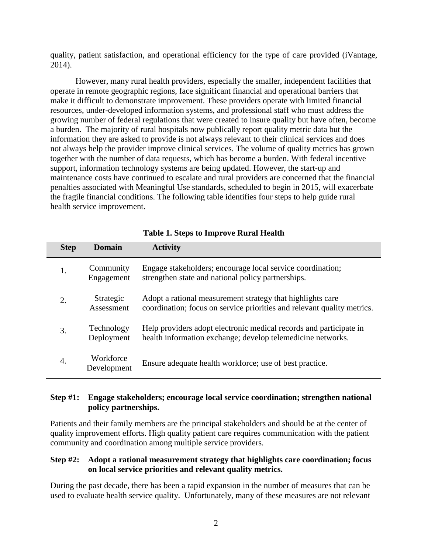quality, patient satisfaction, and operational efficiency for the type of care provided (iVantage, 2014).

However, many rural health providers, especially the smaller, independent facilities that operate in remote geographic regions, face significant financial and operational barriers that make it difficult to demonstrate improvement. These providers operate with limited financial resources, under-developed information systems, and professional staff who must address the growing number of federal regulations that were created to insure quality but have often, become a burden. The majority of rural hospitals now publically report quality metric data but the information they are asked to provide is not always relevant to their clinical services and does not always help the provider improve clinical services. The volume of quality metrics has grown together with the number of data requests, which has become a burden. With federal incentive support, information technology systems are being updated. However, the start-up and maintenance costs have continued to escalate and rural providers are concerned that the financial penalties associated with Meaningful Use standards, scheduled to begin in 2015, will exacerbate the fragile financial conditions. The following table identifies four steps to help guide rural health service improvement.

| <b>Step</b> | <b>Domain</b>            | <b>Activity</b>                                                                                                                       |
|-------------|--------------------------|---------------------------------------------------------------------------------------------------------------------------------------|
| 1.          | Community<br>Engagement  | Engage stakeholders; encourage local service coordination;<br>strengthen state and national policy partnerships.                      |
| 2.          | Strategic<br>Assessment  | Adopt a rational measurement strategy that highlights care<br>coordination; focus on service priorities and relevant quality metrics. |
| 3.          | Technology<br>Deployment | Help providers adopt electronic medical records and participate in<br>health information exchange; develop telemedicine networks.     |
| 4.          | Workforce<br>Development | Ensure adequate health workforce; use of best practice.                                                                               |

# **Table 1. Steps to Improve Rural Health**

## **Step #1: Engage stakeholders; encourage local service coordination; strengthen national policy partnerships.**

Patients and their family members are the principal stakeholders and should be at the center of quality improvement efforts. High quality patient care requires communication with the patient community and coordination among multiple service providers.

## **Step #2: Adopt a rational measurement strategy that highlights care coordination; focus on local service priorities and relevant quality metrics.**

During the past decade, there has been a rapid expansion in the number of measures that can be used to evaluate health service quality. Unfortunately, many of these measures are not relevant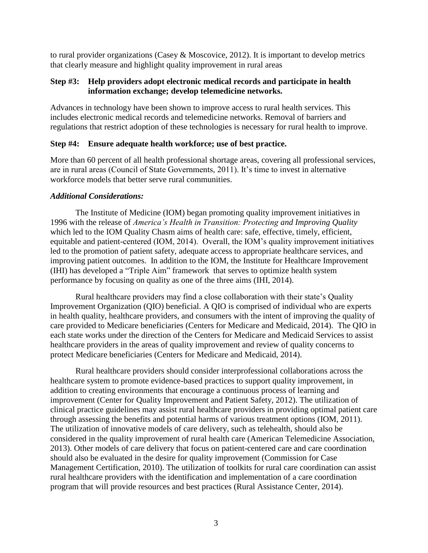to rural provider organizations (Casey & Moscovice, 2012). It is important to develop metrics that clearly measure and highlight quality improvement in rural areas

#### **Step #3: Help providers adopt electronic medical records and participate in health information exchange; develop telemedicine networks.**

Advances in technology have been shown to improve access to rural health services. This includes electronic medical records and telemedicine networks. Removal of barriers and regulations that restrict adoption of these technologies is necessary for rural health to improve.

#### **Step #4: Ensure adequate health workforce; use of best practice.**

More than 60 percent of all health professional shortage areas, covering all professional services, are in rural areas (Council of State Governments, 2011). It's time to invest in alternative workforce models that better serve rural communities.

#### *Additional Considerations:*

The Institute of Medicine (IOM) began promoting quality improvement initiatives in 1996 with the release of *America's Health in Transition: Protecting and Improving Quality* which led to the IOM Quality Chasm aims of health care: safe, effective, timely, efficient, equitable and patient-centered (IOM, 2014). Overall, the IOM's quality improvement initiatives led to the promotion of patient safety, adequate access to appropriate healthcare services, and improving patient outcomes. In addition to the IOM, the Institute for Healthcare Improvement (IHI) has developed a "Triple Aim" framework that serves to optimize health system performance by focusing on quality as one of the three aims (IHI, 2014).

Rural healthcare providers may find a close collaboration with their state's Quality Improvement Organization (QIO) beneficial. A QIO is comprised of individual who are experts in health quality, healthcare providers, and consumers with the intent of improving the quality of care provided to Medicare beneficiaries (Centers for Medicare and Medicaid, 2014). The QIO in each state works under the direction of the Centers for Medicare and Medicaid Services to assist healthcare providers in the areas of quality improvement and review of quality concerns to protect Medicare beneficiaries (Centers for Medicare and Medicaid, 2014).

Rural healthcare providers should consider interprofessional collaborations across the healthcare system to promote evidence-based practices to support quality improvement, in addition to creating environments that encourage a continuous process of learning and improvement (Center for Quality Improvement and Patient Safety, 2012). The utilization of clinical practice guidelines may assist rural healthcare providers in providing optimal patient care through assessing the benefits and potential harms of various treatment options (IOM, 2011). The utilization of innovative models of care delivery, such as telehealth, should also be considered in the quality improvement of rural health care (American Telemedicine Association, 2013). Other models of care delivery that focus on patient-centered care and care coordination should also be evaluated in the desire for quality improvement (Commission for Case Management Certification, 2010). The utilization of toolkits for rural care coordination can assist rural healthcare providers with the identification and implementation of a care coordination program that will provide resources and best practices (Rural Assistance Center, 2014).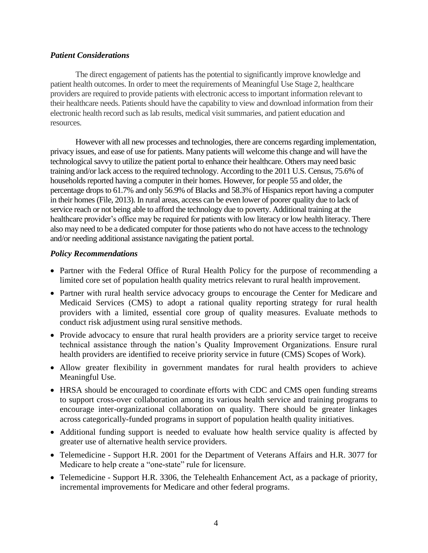#### *Patient Considerations*

The direct engagement of patients has the potential to significantly improve knowledge and patient health outcomes. In order to meet the requirements of Meaningful Use Stage 2, healthcare providers are required to provide patients with electronic access to important information relevant to their healthcare needs. Patients should have the capability to view and download information from their electronic health record such as lab results, medical visit summaries, and patient education and resources.

However with all new processes and technologies, there are concerns regarding implementation, privacy issues, and ease of use for patients. Many patients will welcome this change and will have the technological savvy to utilize the patient portal to enhance their healthcare. Others may need basic training and/or lack access to the required technology. According to the 2011 U.S. Census, 75.6% of households reported having a computer in their homes. However, for people 55 and older, the percentage drops to 61.7% and only 56.9% of Blacks and 58.3% of Hispanics report having a computer in their homes (File, 2013). In rural areas, access can be even lower of poorer quality due to lack of service reach or not being able to afford the technology due to poverty. Additional training at the healthcare provider's office may be required for patients with low literacy or low health literacy. There also may need to be a dedicated computer for those patients who do not have access to the technology and/or needing additional assistance navigating the patient portal.

#### *Policy Recommendations*

- Partner with the Federal Office of Rural Health Policy for the purpose of recommending a limited core set of population health quality metrics relevant to rural health improvement.
- Partner with rural health service advocacy groups to encourage the Center for Medicare and Medicaid Services (CMS) to adopt a rational quality reporting strategy for rural health providers with a limited, essential core group of quality measures. Evaluate methods to conduct risk adjustment using rural sensitive methods.
- Provide advocacy to ensure that rural health providers are a priority service target to receive technical assistance through the nation's Quality Improvement Organizations. Ensure rural health providers are identified to receive priority service in future (CMS) Scopes of Work).
- Allow greater flexibility in government mandates for rural health providers to achieve Meaningful Use.
- HRSA should be encouraged to coordinate efforts with CDC and CMS open funding streams to support cross-over collaboration among its various health service and training programs to encourage inter-organizational collaboration on quality. There should be greater linkages across categorically-funded programs in support of population health quality initiatives.
- Additional funding support is needed to evaluate how health service quality is affected by greater use of alternative health service providers.
- Telemedicine Support H.R. 2001 for the Department of Veterans Affairs and H.R. 3077 for Medicare to help create a "one-state" rule for licensure.
- Telemedicine Support H.R. 3306, the Telehealth Enhancement Act, as a package of priority, incremental improvements for Medicare and other federal programs.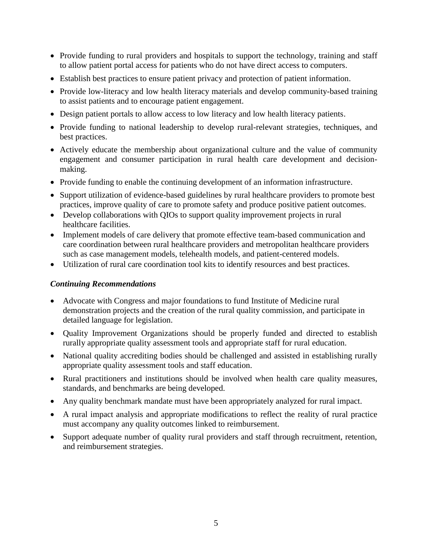- Provide funding to rural providers and hospitals to support the technology, training and staff to allow patient portal access for patients who do not have direct access to computers.
- Establish best practices to ensure patient privacy and protection of patient information.
- Provide low-literacy and low health literacy materials and develop community-based training to assist patients and to encourage patient engagement.
- Design patient portals to allow access to low literacy and low health literacy patients.
- Provide funding to national leadership to develop rural-relevant strategies, techniques, and best practices.
- Actively educate the membership about organizational culture and the value of community engagement and consumer participation in rural health care development and decisionmaking.
- Provide funding to enable the continuing development of an information infrastructure.
- Support utilization of evidence-based guidelines by rural healthcare providers to promote best practices, improve quality of care to promote safety and produce positive patient outcomes.
- Develop collaborations with QIOs to support quality improvement projects in rural healthcare facilities.
- Implement models of care delivery that promote effective team-based communication and care coordination between rural healthcare providers and metropolitan healthcare providers such as case management models, telehealth models, and patient-centered models.
- Utilization of rural care coordination tool kits to identify resources and best practices.

## *Continuing Recommendations*

- Advocate with Congress and major foundations to fund Institute of Medicine rural demonstration projects and the creation of the rural quality commission, and participate in detailed language for legislation.
- Quality Improvement Organizations should be properly funded and directed to establish rurally appropriate quality assessment tools and appropriate staff for rural education.
- National quality accrediting bodies should be challenged and assisted in establishing rurally appropriate quality assessment tools and staff education.
- Rural practitioners and institutions should be involved when health care quality measures, standards, and benchmarks are being developed.
- Any quality benchmark mandate must have been appropriately analyzed for rural impact.
- A rural impact analysis and appropriate modifications to reflect the reality of rural practice must accompany any quality outcomes linked to reimbursement.
- Support adequate number of quality rural providers and staff through recruitment, retention, and reimbursement strategies.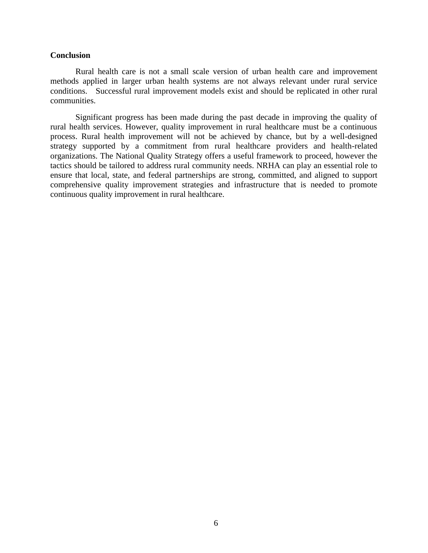#### **Conclusion**

Rural health care is not a small scale version of urban health care and improvement methods applied in larger urban health systems are not always relevant under rural service conditions. Successful rural improvement models exist and should be replicated in other rural communities.

Significant progress has been made during the past decade in improving the quality of rural health services. However, quality improvement in rural healthcare must be a continuous process. Rural health improvement will not be achieved by chance, but by a well-designed strategy supported by a commitment from rural healthcare providers and health-related organizations. The National Quality Strategy offers a useful framework to proceed, however the tactics should be tailored to address rural community needs. NRHA can play an essential role to ensure that local, state, and federal partnerships are strong, committed, and aligned to support comprehensive quality improvement strategies and infrastructure that is needed to promote continuous quality improvement in rural healthcare.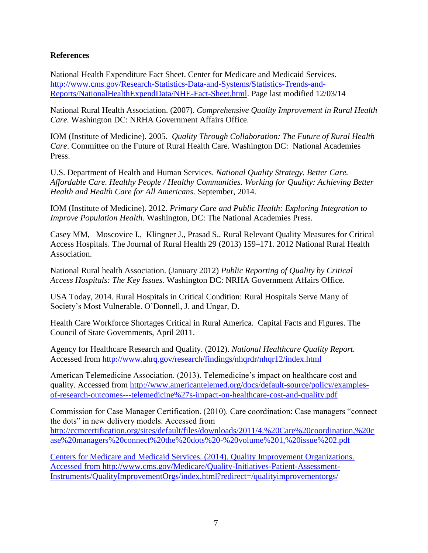#### **References**

National Health Expenditure Fact Sheet. Center for Medicare and Medicaid Services. [http://www.cms.gov/Research-Statistics-Data-and-Systems/Statistics-Trends-and-](http://www.cms.gov/Research-Statistics-Data-and-Systems/Statistics-Trends-and-Reports/NationalHealthExpendData/NHE-Fact-Sheet.html)[Reports/NationalHealthExpendData/NHE-Fact-Sheet.html.](http://www.cms.gov/Research-Statistics-Data-and-Systems/Statistics-Trends-and-Reports/NationalHealthExpendData/NHE-Fact-Sheet.html) Page last modified 12/03/14

National Rural Health Association. (2007). *Comprehensive Quality Improvement in Rural Health Care.* Washington DC: NRHA Government Affairs Office.

IOM (Institute of Medicine). 2005. *Quality Through Collaboration: The Future of Rural Health Care*. Committee on the Future of Rural Health Care. Washington DC: National Academies Press.

U.S. Department of Health and Human Services. *National Quality Strategy. Better Care. Affordable Care. Healthy People / Healthy Communities. Working for Quality: Achieving Better Health and Health Care for All Americans*. September, 2014.

IOM (Institute of Medicine). 2012. *Primary Care and Public Health: Exploring Integration to Improve Population Health*. Washington, DC: The National Academies Press.

Casey MM, Moscovice I., Klingner J., Prasad S.. Rural Relevant Quality Measures for Critical Access Hospitals. The Journal of Rural Health 29 (2013) 159–171. 2012 National Rural Health Association.

National Rural health Association. (January 2012) *Public Reporting of Quality by Critical Access Hospitals: The Key Issues.* Washington DC: NRHA Government Affairs Office.

USA Today, 2014. Rural Hospitals in Critical Condition: Rural Hospitals Serve Many of Society's Most Vulnerable. O'Donnell, J. and Ungar, D.

Health Care Workforce Shortages Critical in Rural America. Capital Facts and Figures. The Council of State Governments, April 2011.

Agency for Healthcare Research and Quality. (2012). *National Healthcare Quality Report.*  Accessed from<http://www.ahrq.gov/research/findings/nhqrdr/nhqr12/index.html>

American Telemedicine Association. (2013). Telemedicine's impact on healthcare cost and quality. Accessed from [http://www.americantelemed.org/docs/default-source/policy/examples](http://www.americantelemed.org/docs/default-source/policy/examples-of-research-outcomes---telemedicine%27s-impact-on-healthcare-cost-and-quality.pdf)[of-research-outcomes---telemedicine%27s-impact-on-healthcare-cost-and-quality.pdf](http://www.americantelemed.org/docs/default-source/policy/examples-of-research-outcomes---telemedicine%27s-impact-on-healthcare-cost-and-quality.pdf)

Commission for Case Manager Certification. (2010). Care coordination: Case managers "connect the dots" in new delivery models. Accessed from [http://ccmcertification.org/sites/default/files/downloads/2011/4.%20Care%20coordination,%20c](http://ccmcertification.org/sites/default/files/downloads/2011/4.%20Care%20coordination,%20case%20managers%20connect%20the%20dots%20-%20volume%201,%20issue%202.pdf) [ase%20managers%20connect%20the%20dots%20-%20volume%201,%20issue%202.pdf](http://ccmcertification.org/sites/default/files/downloads/2011/4.%20Care%20coordination,%20case%20managers%20connect%20the%20dots%20-%20volume%201,%20issue%202.pdf)

Centers for Medicare and Medicaid Services. (2014). Quality Improvement Organizations. Accessed from [http://www.cms.gov/Medicare/Quality-Initiatives-Patient-Assessment-](http://www.cms.gov/Medicare/Quality-Initiatives-Patient-Assessment-Instruments/QualityImprovementOrgs/index.html?redirect=/qualityimprovementorgs/)[Instruments/QualityImprovementOrgs/index.html?redirect=/qualityimprovementorgs/](http://www.cms.gov/Medicare/Quality-Initiatives-Patient-Assessment-Instruments/QualityImprovementOrgs/index.html?redirect=/qualityimprovementorgs/)